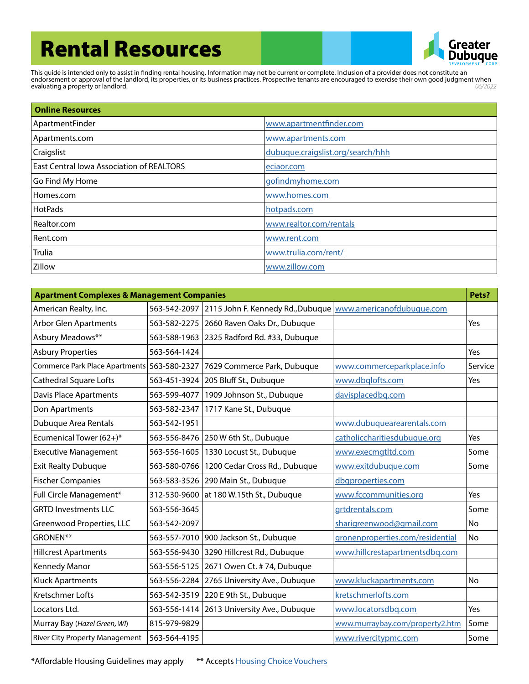## Rental Resources



This guide is intended only to assist in finding rental housing. Information may not be current or complete. Inclusion of a provider does not constitute an endorsement or approval of the landlord, its properties, or its business practices. Prospective tenants are encouraged to exercise their own good judgment when evaluating a property or landlord. *06/2022*

| <b>Online Resources</b>                   |                                   |
|-------------------------------------------|-----------------------------------|
| ApartmentFinder                           | www.apartmentfinder.com           |
| Apartments.com                            | www.apartments.com                |
| Craigslist                                | dubuque.craigslist.org/search/hhh |
| East Central Iowa Association of REALTORS | eciaor.com                        |
| Go Find My Home                           | gofindmyhome.com                  |
| Homes.com                                 | www.homes.com                     |
| <b>HotPads</b>                            | hotpads.com                       |
| Realtor.com                               | www.realtor.com/rentals           |
| Rent.com                                  | www.rent.com                      |
| <b>Trulia</b>                             | www.trulia.com/rent/              |
| Zillow                                    | www.zillow.com                    |

| <b>Apartment Complexes &amp; Management Companies</b> |              |                                                                            | Pets?                            |         |
|-------------------------------------------------------|--------------|----------------------------------------------------------------------------|----------------------------------|---------|
| American Realty, Inc.                                 |              | 563-542-2097 2115 John F. Kennedy Rd., Dubuque   www.americanofdubuque.com |                                  |         |
| <b>Arbor Glen Apartments</b>                          | 563-582-2275 | 2660 Raven Oaks Dr., Dubuque                                               |                                  | Yes     |
| Asbury Meadows**                                      | 563-588-1963 | 2325 Radford Rd. #33, Dubuque                                              |                                  |         |
| <b>Asbury Properties</b>                              | 563-564-1424 |                                                                            |                                  | Yes     |
| Commerce Park Place Apartments 563-580-2327           |              | 7629 Commerce Park, Dubuque                                                | www.commerceparkplace.info       | Service |
| Cathedral Square Lofts                                | 563-451-3924 | 205 Bluff St., Dubuque                                                     | www.dbglofts.com                 | Yes     |
| Davis Place Apartments                                | 563-599-4077 | 1909 Johnson St., Dubuque                                                  | davisplacedbg.com                |         |
| Don Apartments                                        | 563-582-2347 | 1717 Kane St., Dubuque                                                     |                                  |         |
| Dubuque Area Rentals                                  | 563-542-1951 |                                                                            | www.dubuquearearentals.com       |         |
| Ecumenical Tower (62+)*                               | 563-556-8476 | 250 W 6th St., Dubuque                                                     | catholiccharitiesdubuque.org     | Yes     |
| <b>Executive Management</b>                           | 563-556-1605 | 1330 Locust St., Dubuque                                                   | www.execmgtltd.com               | Some    |
| <b>Exit Realty Dubuque</b>                            | 563-580-0766 | 1200 Cedar Cross Rd., Dubuque                                              | www.exitdubuque.com              | Some    |
| <b>Fischer Companies</b>                              | 563-583-3526 | 290 Main St., Dubuque                                                      | dbqproperties.com                |         |
| Full Circle Management*                               | 312-530-9600 | at 180 W.15th St., Dubuque                                                 | www.fccommunities.org            | Yes     |
| <b>GRTD Investments LLC</b>                           | 563-556-3645 |                                                                            | grtdrentals.com                  | Some    |
| Greenwood Properties, LLC                             | 563-542-2097 |                                                                            | sharigreenwood@gmail.com         | No      |
| GRONEN**                                              | 563-557-7010 | 900 Jackson St., Dubuque                                                   | gronenproperties.com/residential | No      |
| <b>Hillcrest Apartments</b>                           | 563-556-9430 | 3290 Hillcrest Rd., Dubuque                                                | www.hillcrestapartmentsdbg.com   |         |
| Kennedy Manor                                         | 563-556-5125 | 2671 Owen Ct. #74, Dubuque                                                 |                                  |         |
| <b>Kluck Apartments</b>                               | 563-556-2284 | 2765 University Ave., Dubuque                                              | www.kluckapartments.com          | No      |
| Kretschmer Lofts                                      | 563-542-3519 | 220 E 9th St., Dubuque                                                     | kretschmerlofts.com              |         |
| Locators Ltd.                                         | 563-556-1414 | 2613 University Ave., Dubuque                                              | www.locatorsdbq.com              | Yes     |
| Murray Bay (Hazel Green, WI)                          | 815-979-9829 |                                                                            | www.murraybay.com/property2.htm  | Some    |
| <b>River City Property Management</b>                 | 563-564-4195 |                                                                            | www.rivercitypmc.com             | Some    |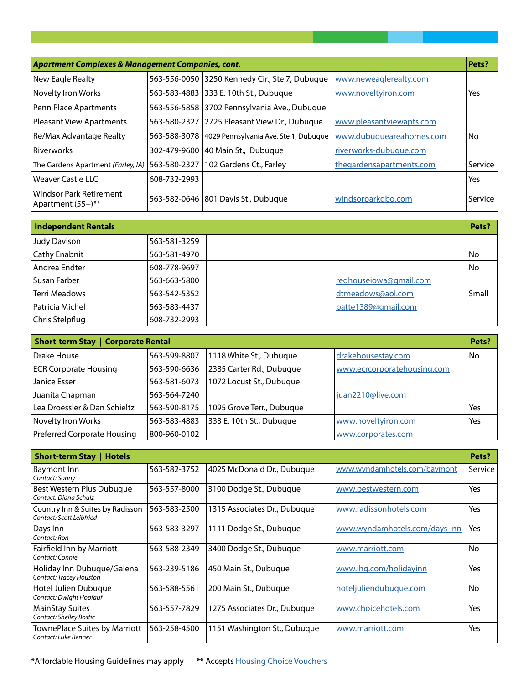| Apartment Complexes & Management Companies, cont.   |              |                                                | Pets?                    |         |
|-----------------------------------------------------|--------------|------------------------------------------------|--------------------------|---------|
| New Eagle Realty                                    |              | 563-556-0050 3250 Kennedy Cir., Ste 7, Dubuque | www.neweaglerealty.com   |         |
| Novelty Iron Works                                  |              | 563-583-4883 333 E. 10th St., Dubuque          | www.noveltyiron.com      | Yes     |
| Penn Place Apartments                               |              | 563-556-5858 3702 Pennsylvania Ave., Dubuque   |                          |         |
| Pleasant View Apartments                            | 563-580-2327 | 2725 Pleasant View Dr., Dubuque                | www.pleasantviewapts.com |         |
| Re/Max Advantage Realty                             | 563-588-3078 | 4029 Pennsylvania Ave. Ste 1, Dubuque          | www.dubuqueareahomes.com | No      |
| Riverworks                                          | 302-479-9600 | 40 Main St., Dubuque                           | riverworks-dubuque.com   |         |
| The Gardens Apartment (Farley, IA)                  | 563-580-2327 | 102 Gardens Ct., Farley                        | thegardensapartments.com | Service |
| Weaver Castle LLC                                   | 608-732-2993 |                                                |                          | Yes     |
| <b>Windsor Park Retirement</b><br>Apartment (55+)** |              | 563-582-0646 801 Davis St., Dubuque            | windsorparkdbg.com       | Service |

| <b>Independent Rentals</b> |              |                        | Pets? |
|----------------------------|--------------|------------------------|-------|
| <b>Judy Davison</b>        | 563-581-3259 |                        |       |
| Cathy Enabnit              | 563-581-4970 |                        | No    |
| Andrea Endter              | 608-778-9697 |                        | No    |
| Susan Farber               | 563-663-5800 | redhouseiowa@gmail.com |       |
| <b>Terri Meadows</b>       | 563-542-5352 | dtmeadows@aol.com      | Small |
| Patricia Michel            | 563-583-4437 | patte1389@qmail.com    |       |
| Chris Stelpflug            | 608-732-2993 |                        |       |

| <b>Short-term Stay   Corporate Rental</b> |              |                           | Pets?                       |     |
|-------------------------------------------|--------------|---------------------------|-----------------------------|-----|
| Drake House                               | 563-599-8807 | 1118 White St., Dubuque   | drakehousestay.com          | No  |
| <b>ECR Corporate Housing</b>              | 563-590-6636 | 2385 Carter Rd., Dubuque  | www.ecrcorporatehousing.com |     |
| Janice Esser                              | 563-581-6073 | 1072 Locust St., Dubuque  |                             |     |
| Juanita Chapman                           | 563-564-7240 |                           | juan2210@live.com           |     |
| Lea Droessler & Dan Schieltz              | 563-590-8175 | 1095 Grove Terr., Dubuque |                             | Yes |
| Novelty Iron Works                        | 563-583-4883 | 333 E. 10th St., Dubuque  | www.noveltyiron.com         | Yes |
| Preferred Corporate Housing               | 800-960-0102 |                           | www.corporates.com          |     |

| Short-term Stay   Hotels                                     |              |                              |                               | Pets?     |
|--------------------------------------------------------------|--------------|------------------------------|-------------------------------|-----------|
| Baymont Inn<br>Contact: Sonny                                | 563-582-3752 | 4025 McDonald Dr., Dubuque   | www.wyndamhotels.com/baymont  | Service   |
| Best Western Plus Dubuque<br>Contact: Diana Schulz           | 563-557-8000 | 3100 Dodge St., Dubuque      | www.bestwestern.com           | Yes       |
| Country Inn & Suites by Radisson<br>Contact: Scott Leibfried | 563-583-2500 | 1315 Associates Dr., Dubuque | www.radissonhotels.com        | Yes       |
| Days Inn<br>Contact: Ron                                     | 563-583-3297 | 1111 Dodge St., Dubuque      | www.wyndamhotels.com/days-inn | Yes       |
| Fairfield Inn by Marriott<br>Contact: Connie                 | 563-588-2349 | 3400 Dodge St., Dubuque      | www.marriott.com              | <b>No</b> |
| Holiday Inn Dubugue/Galena<br>Contact: Tracey Houston        | 563-239-5186 | 450 Main St., Dubuque        | www.ihg.com/holidayinn        | Yes       |
| Hotel Julien Dubuque<br>Contact: Dwight Hopfauf              | 563-588-5561 | 200 Main St., Dubuque        | hoteljuliendubuque.com        | <b>No</b> |
| <b>MainStay Suites</b><br><b>Contact: Shelley Bostic</b>     | 563-557-7829 | 1275 Associates Dr., Dubuque | www.choicehotels.com          | Yes       |
| TownePlace Suites by Marriott<br>Contact: Luke Renner        | 563-258-4500 | 1151 Washington St., Dubugue | www.marriott.com              | Yes       |